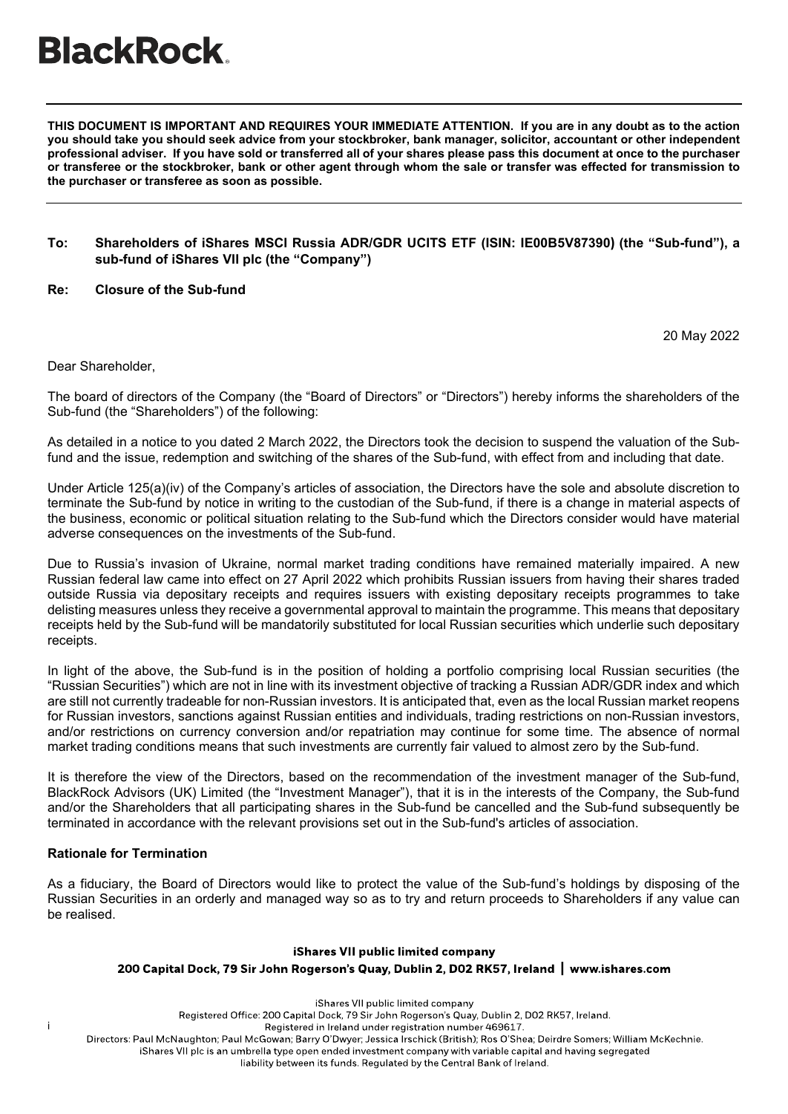# **BlackRock**

**THIS DOCUMENT IS IMPORTANT AND REQUIRES YOUR IMMEDIATE ATTENTION. If you are in any doubt as to the action you should take you should seek advice from your stockbroker, bank manager, solicitor, accountant or other independent professional adviser. If you have sold or transferred all of your shares please pass this document at once to the purchaser or transferee or the stockbroker, bank or other agent through whom the sale or transfer was effected for transmission to the purchaser or transferee as soon as possible.**

### **To: Shareholders of iShares MSCI Russia ADR/GDR UCITS ETF (ISIN: IE00B5V87390) (the "Sub-fund"), a sub-fund of iShares VII plc (the "Company")**

## **Re: Closure of the Sub-fund**

20 May 2022

Dear Shareholder,

The board of directors of the Company (the "Board of Directors" or "Directors") hereby informs the shareholders of the Sub-fund (the "Shareholders") of the following:

As detailed in a notice to you dated 2 March 2022, the Directors took the decision to suspend the valuation of the Subfund and the issue, redemption and switching of the shares of the Sub-fund, with effect from and including that date.

Under Article 125(a)(iv) of the Company's articles of association, the Directors have the sole and absolute discretion to terminate the Sub-fund by notice in writing to the custodian of the Sub-fund, if there is a change in material aspects of the business, economic or political situation relating to the Sub-fund which the Directors consider would have material adverse consequences on the investments of the Sub-fund.

Due to Russia's invasion of Ukraine, normal market trading conditions have remained materially impaired. A new Russian federal law came into effect on 27 April 2022 which prohibits Russian issuers from having their shares traded outside Russia via depositary receipts and requires issuers with existing depositary receipts programmes to take delisting measures unless they receive a governmental approval to maintain the programme. This means that depositary receipts held by the Sub-fund will be mandatorily substituted for local Russian securities which underlie such depositary receipts.

In light of the above, the Sub-fund is in the position of holding a portfolio comprising local Russian securities (the "Russian Securities") which are not in line with its investment objective of tracking a Russian ADR/GDR index and which are still not currently tradeable for non-Russian investors. It is anticipated that, even as the local Russian market reopens for Russian investors, sanctions against Russian entities and individuals, trading restrictions on non-Russian investors, and/or restrictions on currency conversion and/or repatriation may continue for some time. The absence of normal market trading conditions means that such investments are currently fair valued to almost zero by the Sub-fund.

It is therefore the view of the Directors, based on the recommendation of the investment manager of the Sub-fund, BlackRock Advisors (UK) Limited (the "Investment Manager"), that it is in the interests of the Company, the Sub-fund and/or the Shareholders that all participating shares in the Sub-fund be cancelled and the Sub-fund subsequently be terminated in accordance with the relevant provisions set out in the Sub-fund's articles of association.

# **Rationale for Termination**

i

As a fiduciary, the Board of Directors would like to protect the value of the Sub-fund's holdings by disposing of the Russian Securities in an orderly and managed way so as to try and return proceeds to Shareholders if any value can be realised.

### iShares VII public limited company

# 200 Capital Dock, 79 Sir John Rogerson's Quay, Dublin 2, D02 RK57, Ireland Nww.ishares.com

iShares VII public limited company

Registered Office: 200 Capital Dock, 79 Sir John Rogerson's Quay, Dublin 2, D02 RK57, Ireland.

Registered in Ireland under registration number 469617.

Directors: Paul McNaughton; Paul McGowan; Barry O'Dwyer; Jessica Irschick (British); Ros O'Shea; Deirdre Somers; William McKechnie.

iShares VII plc is an umbrella type open ended investment company with variable capital and having segregated

liability between its funds. Regulated by the Central Bank of Ireland.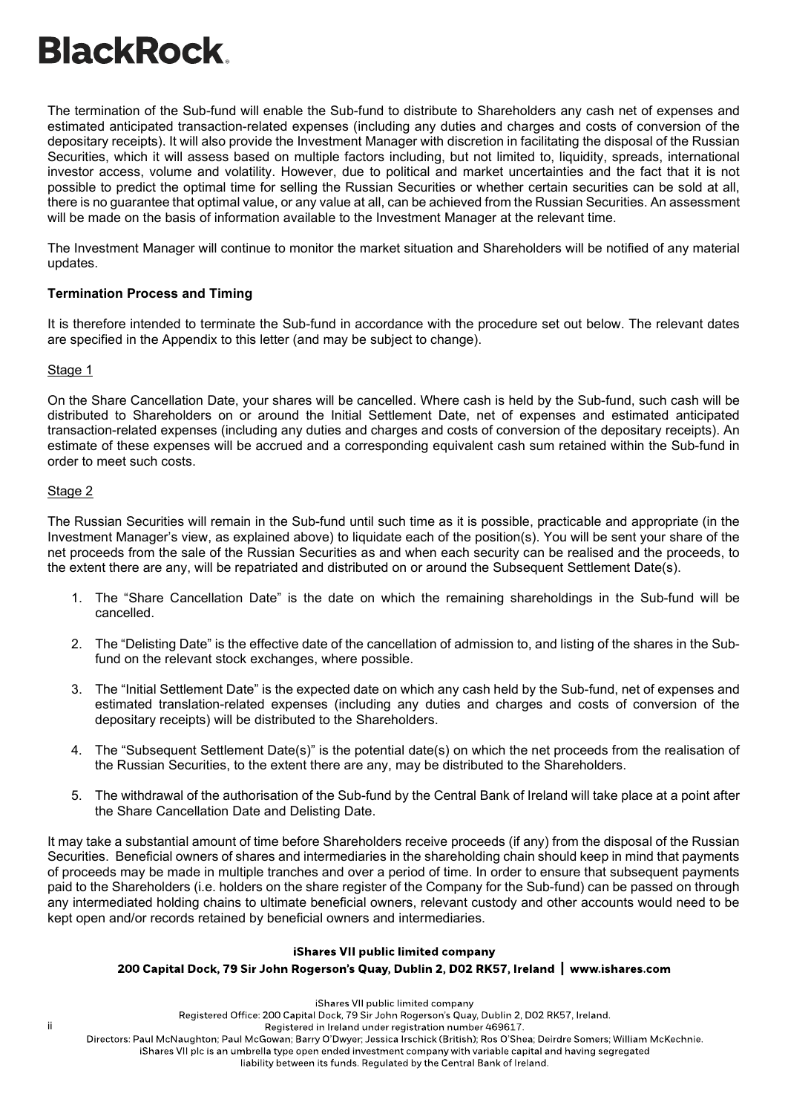# **BlackRock**

The termination of the Sub-fund will enable the Sub-fund to distribute to Shareholders any cash net of expenses and estimated anticipated transaction-related expenses (including any duties and charges and costs of conversion of the depositary receipts). It will also provide the Investment Manager with discretion in facilitating the disposal of the Russian Securities, which it will assess based on multiple factors including, but not limited to, liquidity, spreads, international investor access, volume and volatility. However, due to political and market uncertainties and the fact that it is not possible to predict the optimal time for selling the Russian Securities or whether certain securities can be sold at all, there is no guarantee that optimal value, or any value at all, can be achieved from the Russian Securities. An assessment will be made on the basis of information available to the Investment Manager at the relevant time.

The Investment Manager will continue to monitor the market situation and Shareholders will be notified of any material updates.

# **Termination Process and Timing**

It is therefore intended to terminate the Sub-fund in accordance with the procedure set out below. The relevant dates are specified in the Appendix to this letter (and may be subject to change).

# Stage 1

On the Share Cancellation Date, your shares will be cancelled. Where cash is held by the Sub-fund, such cash will be distributed to Shareholders on or around the Initial Settlement Date, net of expenses and estimated anticipated transaction-related expenses (including any duties and charges and costs of conversion of the depositary receipts). An estimate of these expenses will be accrued and a corresponding equivalent cash sum retained within the Sub-fund in order to meet such costs.

# Stage 2

The Russian Securities will remain in the Sub-fund until such time as it is possible, practicable and appropriate (in the Investment Manager's view, as explained above) to liquidate each of the position(s). You will be sent your share of the net proceeds from the sale of the Russian Securities as and when each security can be realised and the proceeds, to the extent there are any, will be repatriated and distributed on or around the Subsequent Settlement Date(s).

- 1. The "Share Cancellation Date" is the date on which the remaining shareholdings in the Sub-fund will be cancelled.
- 2. The "Delisting Date" is the effective date of the cancellation of admission to, and listing of the shares in the Subfund on the relevant stock exchanges, where possible.
- 3. The "Initial Settlement Date" is the expected date on which any cash held by the Sub-fund, net of expenses and estimated translation-related expenses (including any duties and charges and costs of conversion of the depositary receipts) will be distributed to the Shareholders.
- 4. The "Subsequent Settlement Date(s)" is the potential date(s) on which the net proceeds from the realisation of the Russian Securities, to the extent there are any, may be distributed to the Shareholders.
- 5. The withdrawal of the authorisation of the Sub-fund by the Central Bank of Ireland will take place at a point after the Share Cancellation Date and Delisting Date.

It may take a substantial amount of time before Shareholders receive proceeds (if any) from the disposal of the Russian Securities. Beneficial owners of shares and intermediaries in the shareholding chain should keep in mind that payments of proceeds may be made in multiple tranches and over a period of time. In order to ensure that subsequent payments paid to the Shareholders (i.e. holders on the share register of the Company for the Sub-fund) can be passed on through any intermediated holding chains to ultimate beneficial owners, relevant custody and other accounts would need to be kept open and/or records retained by beneficial owners and intermediaries.

# iShares VII public limited company

# 200 Capital Dock, 79 Sir John Rogerson's Quay, Dublin 2, D02 RK57, Ireland | www.ishares.com

#### iShares VII public limited company

Registered Office: 200 Capital Dock, 79 Sir John Rogerson's Quay, Dublin 2, D02 RK57, Ireland.

Registered in Ireland under registration number 469617.

Directors: Paul McNaughton; Paul McGowan; Barry O'Dwyer; Jessica Irschick (British); Ros O'Shea; Deirdre Somers; William McKechnie.

iShares VII plc is an umbrella type open ended investment company with variable capital and having segregated

#### liability between its funds. Regulated by the Central Bank of Ireland.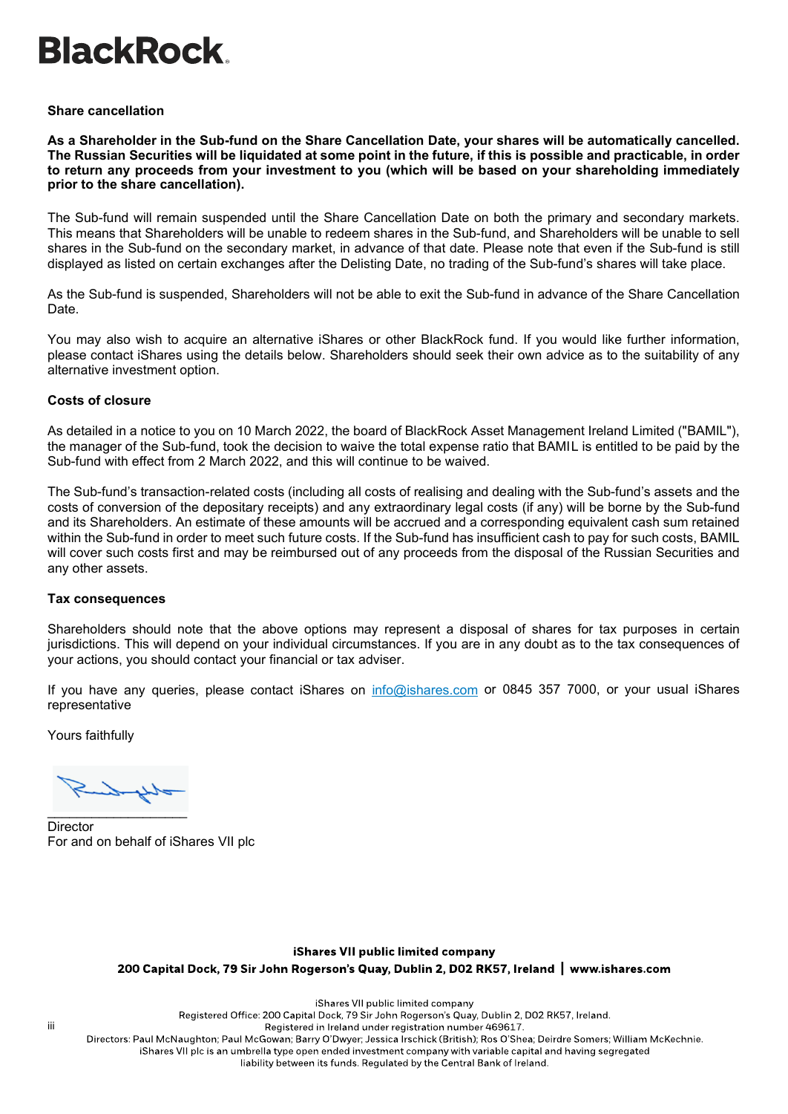# **BlackRock**

## **Share cancellation**

**As a Shareholder in the Sub-fund on the Share Cancellation Date, your shares will be automatically cancelled. The Russian Securities will be liquidated at some point in the future, if this is possible and practicable, in order to return any proceeds from your investment to you (which will be based on your shareholding immediately prior to the share cancellation).** 

The Sub-fund will remain suspended until the Share Cancellation Date on both the primary and secondary markets. This means that Shareholders will be unable to redeem shares in the Sub-fund, and Shareholders will be unable to sell shares in the Sub-fund on the secondary market, in advance of that date. Please note that even if the Sub-fund is still displayed as listed on certain exchanges after the Delisting Date, no trading of the Sub-fund's shares will take place.

As the Sub-fund is suspended, Shareholders will not be able to exit the Sub-fund in advance of the Share Cancellation Date.

You may also wish to acquire an alternative iShares or other BlackRock fund. If you would like further information, please contact iShares using the details below. Shareholders should seek their own advice as to the suitability of any alternative investment option.

## **Costs of closure**

As detailed in a notice to you on 10 March 2022, the board of BlackRock Asset Management Ireland Limited ("BAMIL"), the manager of the Sub-fund, took the decision to waive the total expense ratio that BAMIL is entitled to be paid by the Sub-fund with effect from 2 March 2022, and this will continue to be waived.

The Sub-fund's transaction-related costs (including all costs of realising and dealing with the Sub-fund's assets and the costs of conversion of the depositary receipts) and any extraordinary legal costs (if any) will be borne by the Sub-fund and its Shareholders. An estimate of these amounts will be accrued and a corresponding equivalent cash sum retained within the Sub-fund in order to meet such future costs. If the Sub-fund has insufficient cash to pay for such costs, BAMIL will cover such costs first and may be reimbursed out of any proceeds from the disposal of the Russian Securities and any other assets.

### **Tax consequences**

Shareholders should note that the above options may represent a disposal of shares for tax purposes in certain jurisdictions. This will depend on your individual circumstances. If you are in any doubt as to the tax consequences of your actions, you should contact your financial or tax adviser.

If you have any queries, please contact iShares on [info@ishares.com](mailto:info@ishares.com) or 0845 357 7000, or your usual iShares representative

Yours faithfully

\_\_\_\_\_\_\_\_\_\_\_\_\_\_\_\_\_\_\_

**Director** For and on behalf of iShares VII plc

# iShares VII public limited company

200 Capital Dock, 79 Sir John Rogerson's Quay, Dublin 2, D02 RK57, Ireland | www.ishares.com

iShares VII public limited company

Registered Office: 200 Capital Dock, 79 Sir John Rogerson's Quay, Dublin 2, D02 RK57, Ireland.

Registered in Ireland under registration number 469617.

Directors: Paul McNaughton; Paul McGowan; Barry O'Dwyer; Jessica Irschick (British); Ros O'Shea; Deirdre Somers; William McKechnie.

iShares VII plc is an umbrella type open ended investment company with variable capital and having segregated

liability between its funds. Regulated by the Central Bank of Ireland.